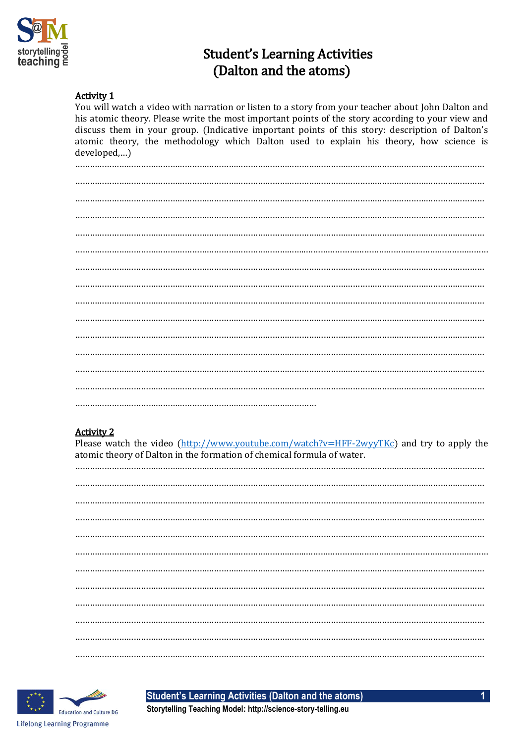

# **Student's Learning Activities** (Dalton and the atoms)

#### **Activity 1**

You will watch a video with narration or listen to a story from your teacher about John Dalton and his atomic theory. Please write the most important points of the story according to your view and discuss them in your group. (Indicative important points of this story: description of Dalton's atomic theory, the methodology which Dalton used to explain his theory, how science is developed,...)

#### **Activity 2**

Please watch the video (http://www.youtube.com/watch?v=HFF-2wyyTKc) and try to apply the atomic theory of Dalton in the formation of chemical formula of water.



**Student's Learning Activities (Dalton and the atoms)** 

Storytelling Teaching Model: http://science-story-telling.eu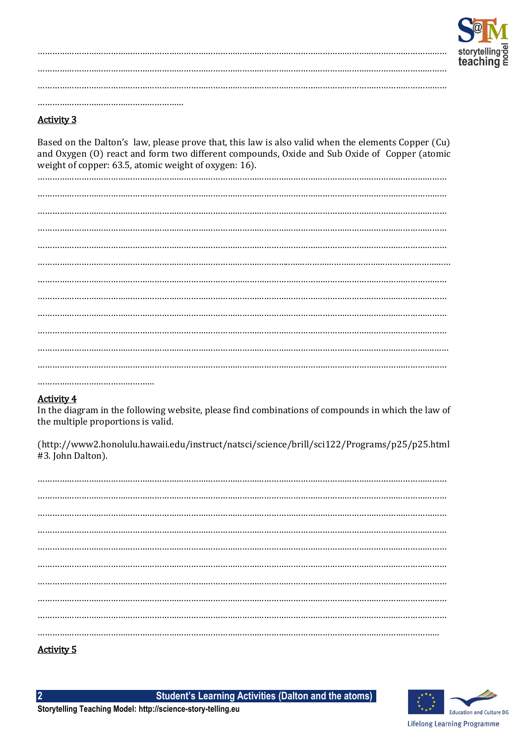

### **Activity 3**

Based on the Dalton's law, please prove that, this law is also valid when the elements Copper (Cu) and Oxygen (0) react and form two different compounds, Oxide and Sub Oxide of Copper (atomic weight of copper: 63.5, atomic weight of oxygen: 16).

#### **Activity 4**

In the diagram in the following website, please find combinations of compounds in which the law of the multiple proportions is valid.

(http://www2.honolulu.hawaii.edu/instruct/natsci/science/brill/sci122/Programs/p25/p25.html #3. John Dalton).

| . |  |  |  |  |  |  |  |
|---|--|--|--|--|--|--|--|

## <u>Activity 5</u>

 $\overline{\mathbf{2}}$ 

**Student's Learning Activities (Dalton and the atoms)** 

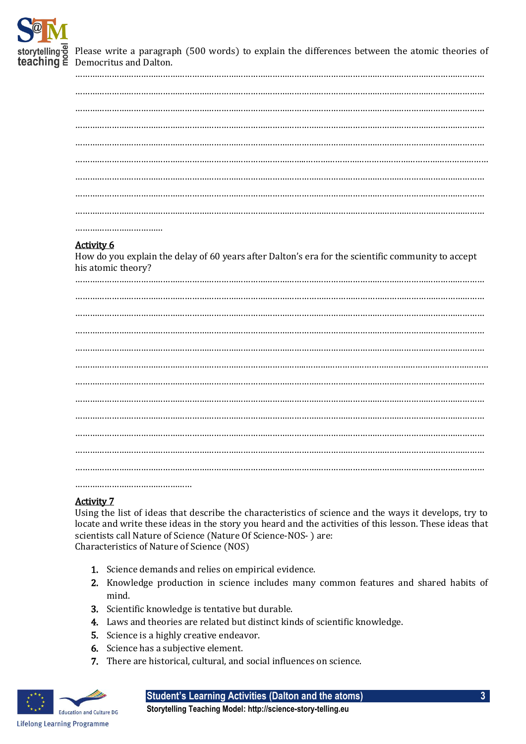

Please write a paragraph (500 words) to explain the differences between the atomic theories of **teaching**  $\check{\equiv}$  Democritus and Dalton.

| <b>Activity 6</b><br>How do you explain the delay of 60 years after Dalton's era for the scientific community to accept<br>his atomic theory? |
|-----------------------------------------------------------------------------------------------------------------------------------------------|
|                                                                                                                                               |
|                                                                                                                                               |
|                                                                                                                                               |
|                                                                                                                                               |
|                                                                                                                                               |
|                                                                                                                                               |
|                                                                                                                                               |
|                                                                                                                                               |
|                                                                                                                                               |
|                                                                                                                                               |
|                                                                                                                                               |
|                                                                                                                                               |

…………………………………………

#### Activity 7

Using the list of ideas that describe the characteristics of science and the ways it develops, try to locate and write these ideas in the story you heard and the activities of this lesson. These ideas that scientists call Nature of Science (Nature Of Science-NOS- ) are: Characteristics of Nature of Science (NOS)

- 1. Science demands and relies on empirical evidence.
- 2. Knowledge production in science includes many common features and shared habits of mind.
- 3. Scientific knowledge is tentative but durable.
- 4. Laws and theories are related but distinct kinds of scientific knowledge.
- 5. Science is a highly creative endeavor.
- 6. Science has a subjective element.
- 7. There are historical, cultural, and social influences on science.



**Student's Learning Activities (Dalton and the atoms) 3**